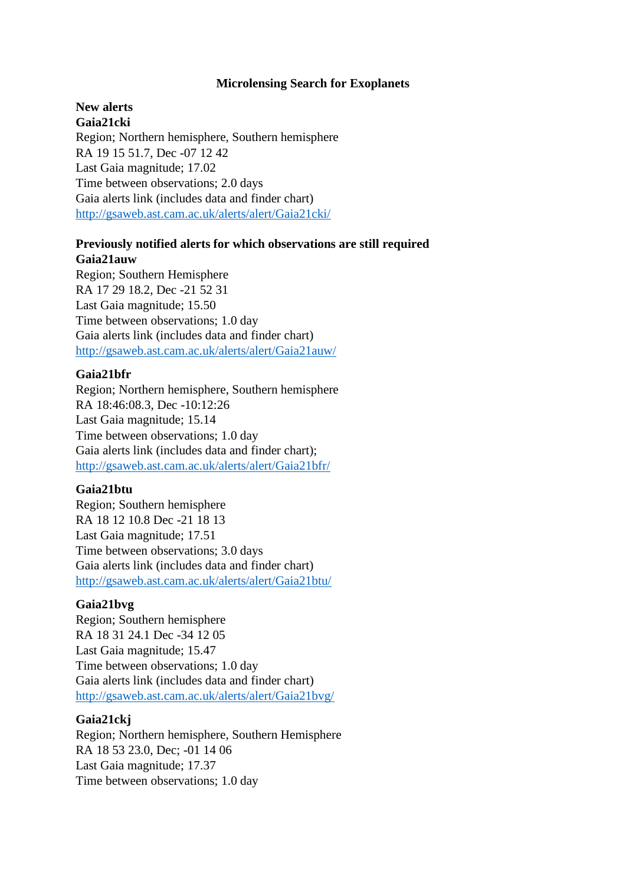## **Microlensing Search for Exoplanets**

#### **New alerts Gaia21cki**

Region; Northern hemisphere, Southern hemisphere RA 19 15 51.7, Dec -07 12 42 Last Gaia magnitude; 17.02 Time between observations; 2.0 days Gaia alerts link (includes data and finder chart) <http://gsaweb.ast.cam.ac.uk/alerts/alert/Gaia21cki/>

# **Previously notified alerts for which observations are still required Gaia21auw**

Region; Southern Hemisphere RA 17 29 18.2, Dec -21 52 31 Last Gaia magnitude; 15.50 Time between observations; 1.0 day Gaia alerts link (includes data and finder chart) <http://gsaweb.ast.cam.ac.uk/alerts/alert/Gaia21auw/>

## **Gaia21bfr**

Region; Northern hemisphere, Southern hemisphere RA 18:46:08.3, Dec -10:12:26 Last Gaia magnitude; 15.14 Time between observations; 1.0 day Gaia alerts link (includes data and finder chart); <http://gsaweb.ast.cam.ac.uk/alerts/alert/Gaia21bfr/>

## **Gaia21btu**

Region; Southern hemisphere RA 18 12 10.8 Dec -21 18 13 Last Gaia magnitude; 17.51 Time between observations; 3.0 days Gaia alerts link (includes data and finder chart) <http://gsaweb.ast.cam.ac.uk/alerts/alert/Gaia21btu/>

### **Gaia21bvg**

Region; Southern hemisphere RA 18 31 24.1 Dec -34 12 05 Last Gaia magnitude; 15.47 Time between observations; 1.0 day Gaia alerts link (includes data and finder chart) <http://gsaweb.ast.cam.ac.uk/alerts/alert/Gaia21bvg/>

## **Gaia21ckj**

Region; Northern hemisphere, Southern Hemisphere RA 18 53 23.0, Dec; -01 14 06 Last Gaia magnitude; 17.37 Time between observations; 1.0 day